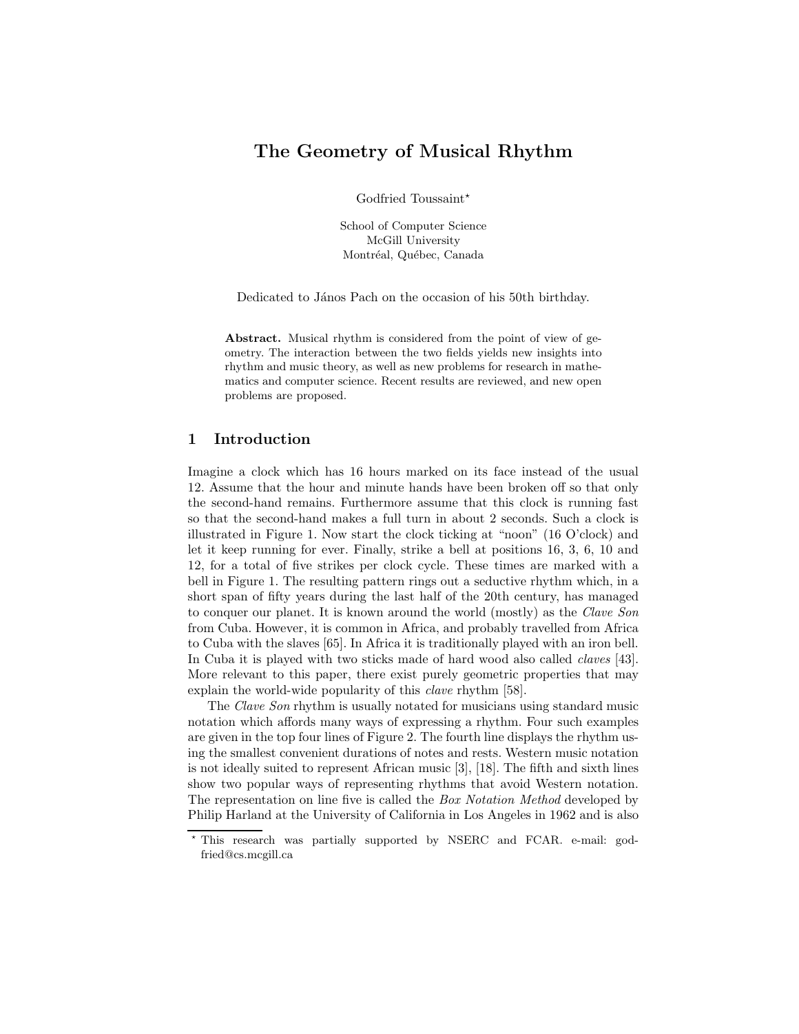# The Geometry of Musical Rhythm

Godfried Toussaint\*

School of Computer Science McGill University Montréal, Québec, Canada

Dedicated to János Pach on the occasion of his 50th birthday.

Abstract. Musical rhythm is considered from the point of view of geometry. The interaction between the two fields yields new insights into rhythm and music theory, as well as new problems for research in mathematics and computer science. Recent results are reviewed, and new open problems are proposed.

## 1 Introduction

Imagine a clock which has 16 hours marked on its face instead of the usual 12. Assume that the hour and minute hands have been broken off so that only the second-hand remains. Furthermore assume that this clock is running fast so that the second-hand makes a full turn in about 2 seconds. Such a clock is illustrated in Figure 1. Now start the clock ticking at "noon" (16 O'clock) and let it keep running for ever. Finally, strike a bell at positions 16, 3, 6, 10 and 12, for a total of five strikes per clock cycle. These times are marked with a bell in Figure 1. The resulting pattern rings out a seductive rhythm which, in a short span of fifty years during the last half of the 20th century, has managed to conquer our planet. It is known around the world (mostly) as the Clave Son from Cuba. However, it is common in Africa, and probably travelled from Africa to Cuba with the slaves [65]. In Africa it is traditionally played with an iron bell. In Cuba it is played with two sticks made of hard wood also called claves [43]. More relevant to this paper, there exist purely geometric properties that may explain the world-wide popularity of this clave rhythm [58].

The Clave Son rhythm is usually notated for musicians using standard music notation which affords many ways of expressing a rhythm. Four such examples are given in the top four lines of Figure 2. The fourth line displays the rhythm using the smallest convenient durations of notes and rests. Western music notation is not ideally suited to represent African music [3], [18]. The fifth and sixth lines show two popular ways of representing rhythms that avoid Western notation. The representation on line five is called the Box Notation Method developed by Philip Harland at the University of California in Los Angeles in 1962 and is also

<sup>?</sup> This research was partially supported by NSERC and FCAR. e-mail: godfried@cs.mcgill.ca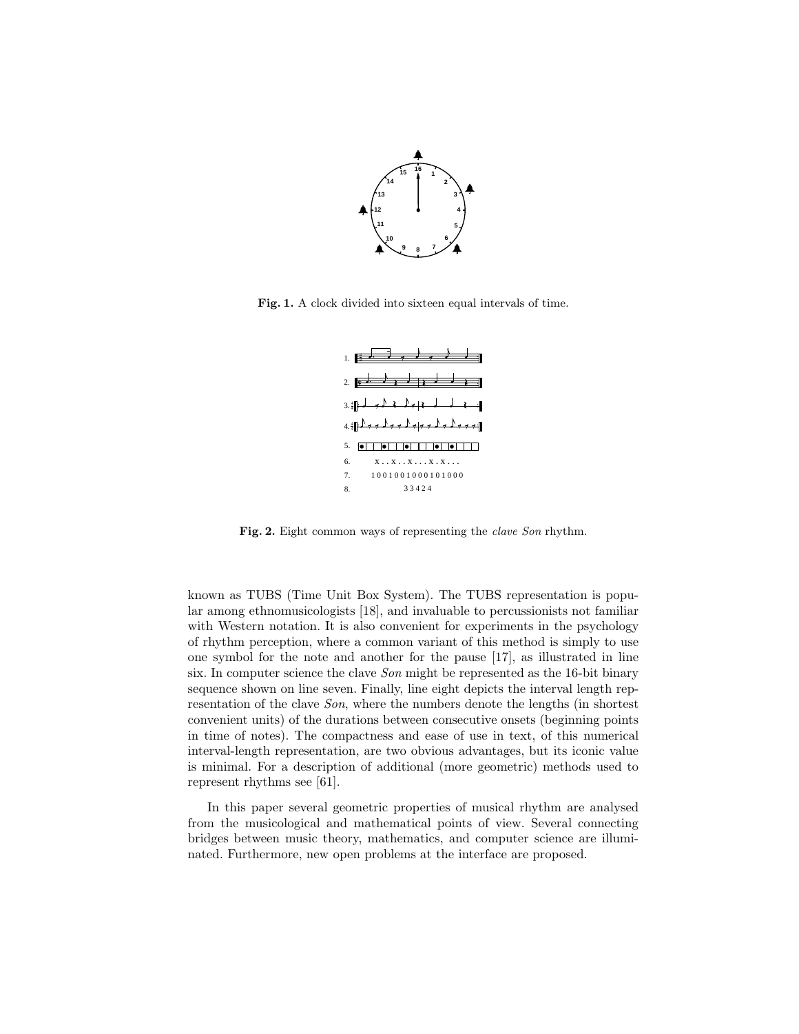

Fig. 1. A clock divided into sixteen equal intervals of time.



Fig. 2. Eight common ways of representing the *clave Son* rhythm.

known as TUBS (Time Unit Box System). The TUBS representation is popular among ethnomusicologists [18], and invaluable to percussionists not familiar with Western notation. It is also convenient for experiments in the psychology of rhythm perception, where a common variant of this method is simply to use one symbol for the note and another for the pause [17], as illustrated in line six. In computer science the clave Son might be represented as the 16-bit binary sequence shown on line seven. Finally, line eight depicts the interval length representation of the clave Son, where the numbers denote the lengths (in shortest convenient units) of the durations between consecutive onsets (beginning points in time of notes). The compactness and ease of use in text, of this numerical interval-length representation, are two obvious advantages, but its iconic value is minimal. For a description of additional (more geometric) methods used to represent rhythms see [61].

In this paper several geometric properties of musical rhythm are analysed from the musicological and mathematical points of view. Several connecting bridges between music theory, mathematics, and computer science are illuminated. Furthermore, new open problems at the interface are proposed.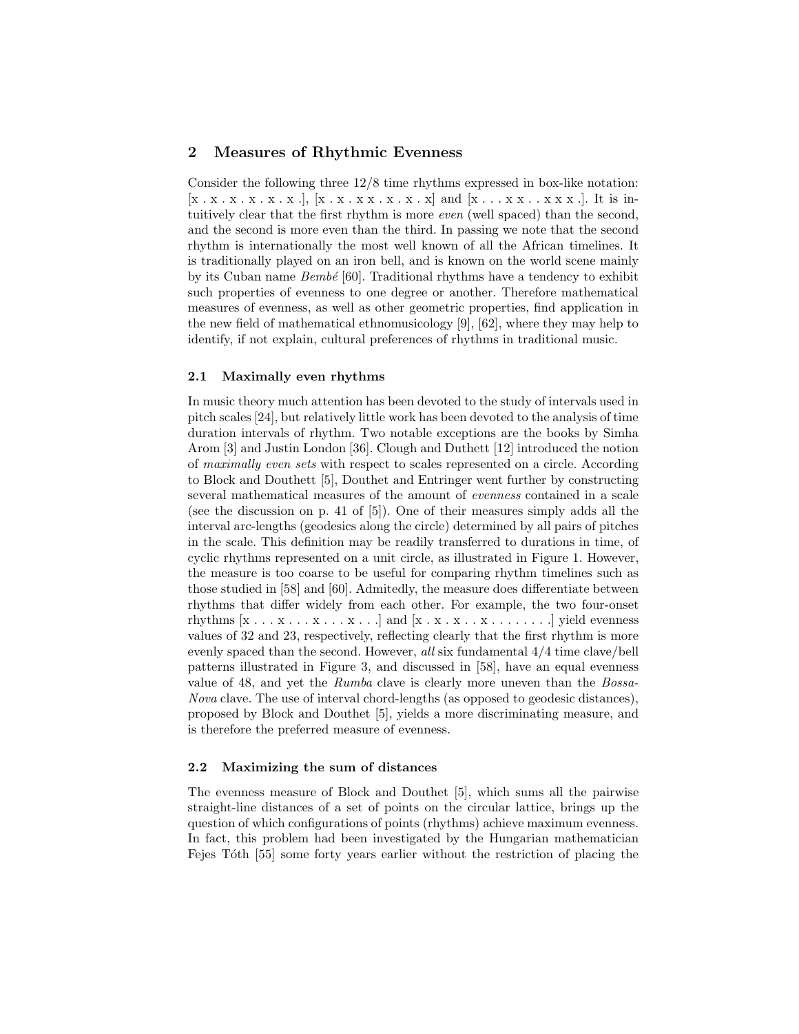## 2 Measures of Rhythmic Evenness

Consider the following three 12/8 time rhythms expressed in box-like notation:  $[x \ldots x \ldots x \ldots x \ldots x]$ ,  $[x \ldots x \ldots x \ldots x \ldots x]$  and  $[x \ldots x \ldots x \ldots x \ldots x \ldots]$ . It is intuitively clear that the first rhythm is more *even* (well spaced) than the second, and the second is more even than the third. In passing we note that the second rhythm is internationally the most well known of all the African timelines. It is traditionally played on an iron bell, and is known on the world scene mainly by its Cuban name  $Bemb\acute{e}$  [60]. Traditional rhythms have a tendency to exhibit such properties of evenness to one degree or another. Therefore mathematical measures of evenness, as well as other geometric properties, find application in the new field of mathematical ethnomusicology [9], [62], where they may help to identify, if not explain, cultural preferences of rhythms in traditional music.

### 2.1 Maximally even rhythms

In music theory much attention has been devoted to the study of intervals used in pitch scales [24], but relatively little work has been devoted to the analysis of time duration intervals of rhythm. Two notable exceptions are the books by Simha Arom [3] and Justin London [36]. Clough and Duthett [12] introduced the notion of maximally even sets with respect to scales represented on a circle. According to Block and Douthett [5], Douthet and Entringer went further by constructing several mathematical measures of the amount of evenness contained in a scale (see the discussion on p. 41 of [5]). One of their measures simply adds all the interval arc-lengths (geodesics along the circle) determined by all pairs of pitches in the scale. This definition may be readily transferred to durations in time, of cyclic rhythms represented on a unit circle, as illustrated in Figure 1. However, the measure is too coarse to be useful for comparing rhythm timelines such as those studied in [58] and [60]. Admitedly, the measure does differentiate between rhythms that differ widely from each other. For example, the two four-onset rhythms  $[x \ldots x \ldots x \ldots x \ldots]$  and  $[x \ldots x \ldots x \ldots x \ldots]$  yield evenness values of 32 and 23, respectively, reflecting clearly that the first rhythm is more evenly spaced than the second. However, all six fundamental 4/4 time clave/bell patterns illustrated in Figure 3, and discussed in [58], have an equal evenness value of 48, and yet the Rumba clave is clearly more uneven than the Bossa-Nova clave. The use of interval chord-lengths (as opposed to geodesic distances), proposed by Block and Douthet [5], yields a more discriminating measure, and is therefore the preferred measure of evenness.

### 2.2 Maximizing the sum of distances

The evenness measure of Block and Douthet [5], which sums all the pairwise straight-line distances of a set of points on the circular lattice, brings up the question of which configurations of points (rhythms) achieve maximum evenness. In fact, this problem had been investigated by the Hungarian mathematician Fejes Tóth [55] some forty years earlier without the restriction of placing the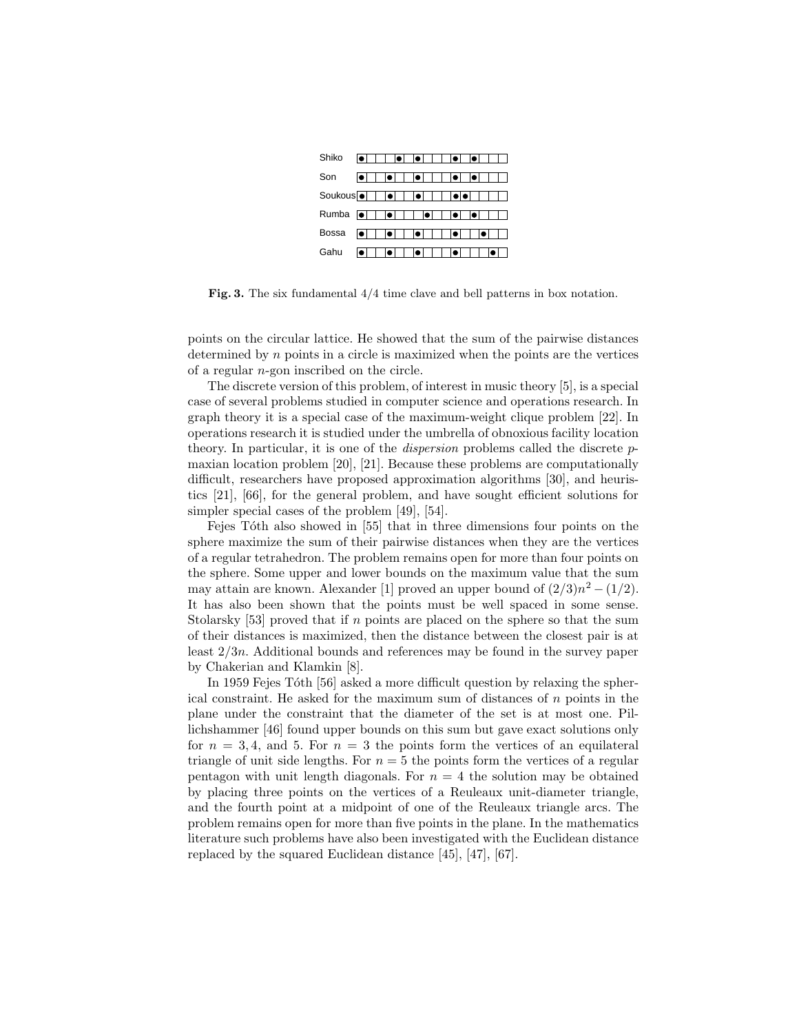| Shiko                                                                                                                                                                                                                                                                                                                                                                                     | . . |             |   |                                                       |   |                                     |    |  |  |        |
|-------------------------------------------------------------------------------------------------------------------------------------------------------------------------------------------------------------------------------------------------------------------------------------------------------------------------------------------------------------------------------------------|-----|-------------|---|-------------------------------------------------------|---|-------------------------------------|----|--|--|--------|
| Son                                                                                                                                                                                                                                                                                                                                                                                       |     | . .         |   |                                                       |   | HOI I I I I I I I I I I I I I I I I |    |  |  |        |
| Soukous $\bullet$   $\bullet$   $\bullet$   $\bullet$   $\bullet$   $\bullet$   $\bullet$   $\bullet$   $\bullet$   $\bullet$   $\bullet$   $\bullet$   $\bullet$   $\bullet$   $\bullet$   $\bullet$   $\bullet$   $\bullet$   $\bullet$   $\bullet$   $\bullet$   $\bullet$   $\bullet$   $\bullet$   $\bullet$   $\bullet$   $\bullet$   $\bullet$   $\bullet$   $\bullet$   $\bullet$ |     |             |   |                                                       |   |                                     |    |  |  | $\Box$ |
|                                                                                                                                                                                                                                                                                                                                                                                           |     |             |   |                                                       |   |                                     |    |  |  |        |
| Bossa                                                                                                                                                                                                                                                                                                                                                                                     |     | $\bullet$ l |   | $\bullet$   $\bullet$       $\bullet$       $\bullet$ |   |                                     |    |  |  |        |
| Gahu                                                                                                                                                                                                                                                                                                                                                                                      |     | 9 I         | ∙ |                                                       | ♥ |                                     | DI |  |  |        |

Fig. 3. The six fundamental 4/4 time clave and bell patterns in box notation.

points on the circular lattice. He showed that the sum of the pairwise distances determined by  $n$  points in a circle is maximized when the points are the vertices of a regular n-gon inscribed on the circle.

The discrete version of this problem, of interest in music theory [5], is a special case of several problems studied in computer science and operations research. In graph theory it is a special case of the maximum-weight clique problem [22]. In operations research it is studied under the umbrella of obnoxious facility location theory. In particular, it is one of the *dispersion* problems called the discrete  $p$ maxian location problem [20], [21]. Because these problems are computationally difficult, researchers have proposed approximation algorithms [30], and heuristics [21], [66], for the general problem, and have sought efficient solutions for simpler special cases of the problem [49], [54].

Fejes Tóth also showed in [55] that in three dimensions four points on the sphere maximize the sum of their pairwise distances when they are the vertices of a regular tetrahedron. The problem remains open for more than four points on the sphere. Some upper and lower bounds on the maximum value that the sum may attain are known. Alexander [1] proved an upper bound of  $(2/3)n^2 - (1/2)$ . It has also been shown that the points must be well spaced in some sense. Stolarsky [53] proved that if n points are placed on the sphere so that the sum of their distances is maximized, then the distance between the closest pair is at least 2/3n. Additional bounds and references may be found in the survey paper by Chakerian and Klamkin [8].

In 1959 Fejes Tóth [56] asked a more difficult question by relaxing the spherical constraint. He asked for the maximum sum of distances of  $n$  points in the plane under the constraint that the diameter of the set is at most one. Pillichshammer [46] found upper bounds on this sum but gave exact solutions only for  $n = 3, 4$ , and 5. For  $n = 3$  the points form the vertices of an equilateral triangle of unit side lengths. For  $n = 5$  the points form the vertices of a regular pentagon with unit length diagonals. For  $n = 4$  the solution may be obtained by placing three points on the vertices of a Reuleaux unit-diameter triangle, and the fourth point at a midpoint of one of the Reuleaux triangle arcs. The problem remains open for more than five points in the plane. In the mathematics literature such problems have also been investigated with the Euclidean distance replaced by the squared Euclidean distance [45], [47], [67].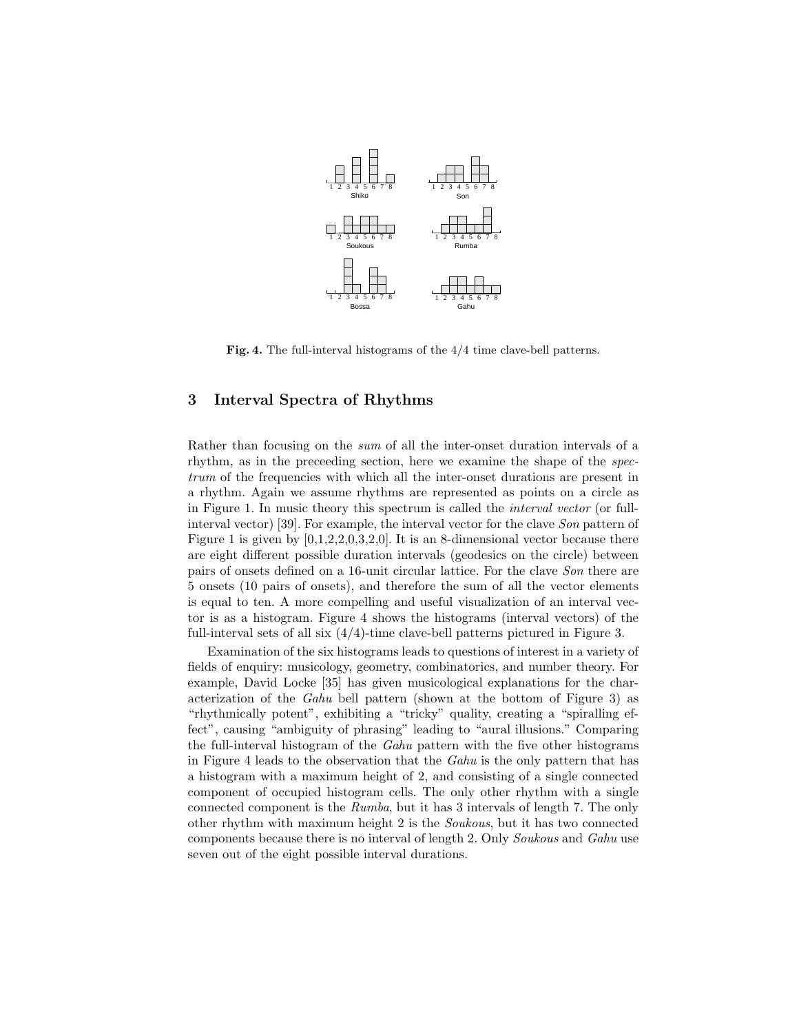

Fig. 4. The full-interval histograms of the 4/4 time clave-bell patterns.

# 3 Interval Spectra of Rhythms

Rather than focusing on the *sum* of all the inter-onset duration intervals of a rhythm, as in the preceeding section, here we examine the shape of the *spec*trum of the frequencies with which all the inter-onset durations are present in a rhythm. Again we assume rhythms are represented as points on a circle as in Figure 1. In music theory this spectrum is called the interval vector (or fullinterval vector) [39]. For example, the interval vector for the clave Son pattern of Figure 1 is given by  $[0,1,2,2,0,3,2,0]$ . It is an 8-dimensional vector because there are eight different possible duration intervals (geodesics on the circle) between pairs of onsets defined on a 16-unit circular lattice. For the clave Son there are 5 onsets (10 pairs of onsets), and therefore the sum of all the vector elements is equal to ten. A more compelling and useful visualization of an interval vector is as a histogram. Figure 4 shows the histograms (interval vectors) of the full-interval sets of all six  $(4/4)$ -time clave-bell patterns pictured in Figure 3.

Examination of the six histograms leads to questions of interest in a variety of fields of enquiry: musicology, geometry, combinatorics, and number theory. For example, David Locke [35] has given musicological explanations for the characterization of the Gahu bell pattern (shown at the bottom of Figure 3) as "rhythmically potent", exhibiting a "tricky" quality, creating a "spiralling effect", causing "ambiguity of phrasing" leading to "aural illusions." Comparing the full-interval histogram of the Gahu pattern with the five other histograms in Figure 4 leads to the observation that the Gahu is the only pattern that has a histogram with a maximum height of 2, and consisting of a single connected component of occupied histogram cells. The only other rhythm with a single connected component is the Rumba, but it has 3 intervals of length 7. The only other rhythm with maximum height 2 is the Soukous, but it has two connected components because there is no interval of length 2. Only Soukous and Gahu use seven out of the eight possible interval durations.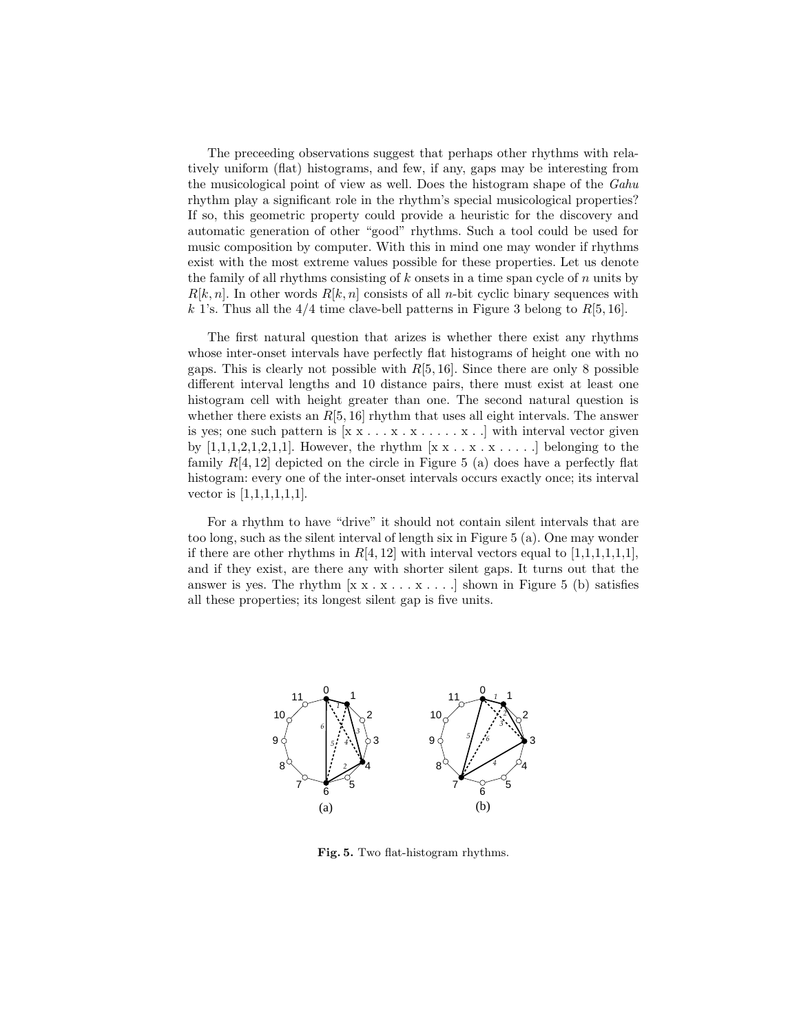The preceeding observations suggest that perhaps other rhythms with relatively uniform (flat) histograms, and few, if any, gaps may be interesting from the musicological point of view as well. Does the histogram shape of the Gahu rhythm play a significant role in the rhythm's special musicological properties? If so, this geometric property could provide a heuristic for the discovery and automatic generation of other "good" rhythms. Such a tool could be used for music composition by computer. With this in mind one may wonder if rhythms exist with the most extreme values possible for these properties. Let us denote the family of all rhythms consisting of  $k$  onsets in a time span cycle of  $n$  units by  $R[k, n]$ . In other words  $R[k, n]$  consists of all *n*-bit cyclic binary sequences with k 1's. Thus all the  $4/4$  time clave-bell patterns in Figure 3 belong to  $R[5, 16]$ .

The first natural question that arizes is whether there exist any rhythms whose inter-onset intervals have perfectly flat histograms of height one with no gaps. This is clearly not possible with  $R[5, 16]$ . Since there are only 8 possible different interval lengths and 10 distance pairs, there must exist at least one histogram cell with height greater than one. The second natural question is whether there exists an  $R[5, 16]$  rhythm that uses all eight intervals. The answer is yes; one such pattern is  $[x x \ldots x \ldots x \ldots x \ldots]$  with interval vector given by  $[1,1,1,2,1,2,1,1]$ . However, the rhythm  $[x x \ldots x \ldots]$  belonging to the family  $R[4, 12]$  depicted on the circle in Figure 5 (a) does have a perfectly flat histogram: every one of the inter-onset intervals occurs exactly once; its interval vector is  $[1,1,1,1,1,1].$ 

For a rhythm to have "drive" it should not contain silent intervals that are too long, such as the silent interval of length six in Figure 5 (a). One may wonder if there are other rhythms in  $R[4, 12]$  with interval vectors equal to [1,1,1,1,1,1], and if they exist, are there any with shorter silent gaps. It turns out that the answer is yes. The rhythm  $[x x, x, \ldots x, \ldots]$  shown in Figure 5 (b) satisfies all these properties; its longest silent gap is five units.



Fig. 5. Two flat-histogram rhythms.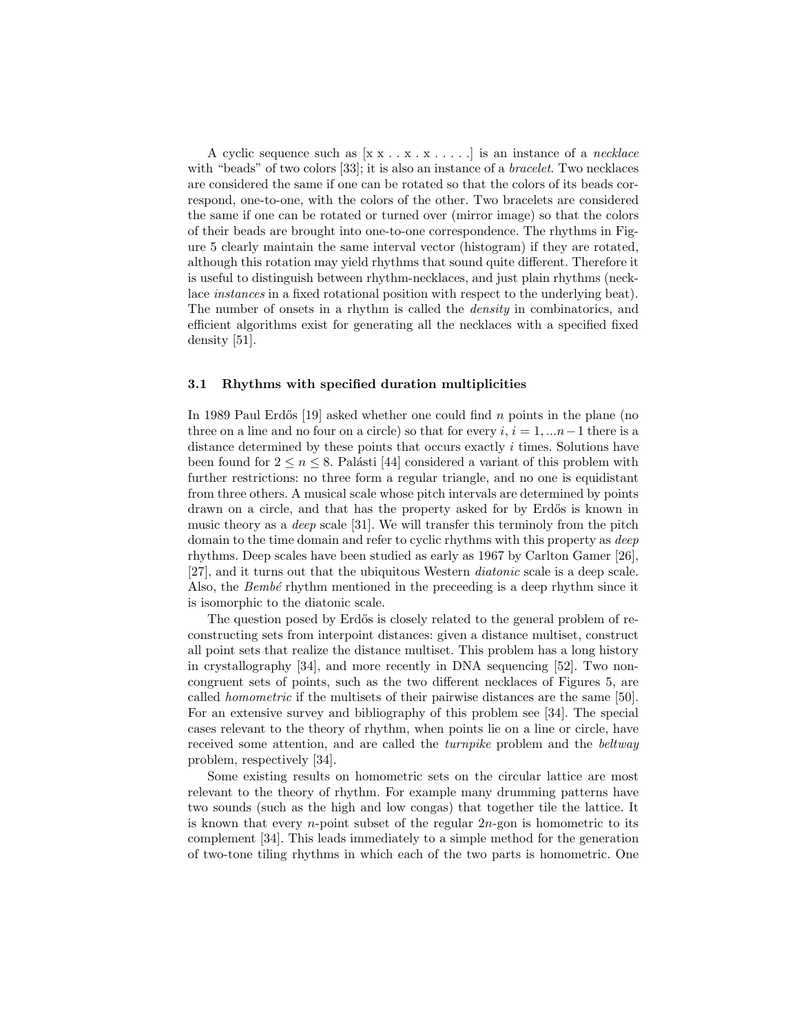A cyclic sequence such as  $[x x \dots x \dots x]$  is an instance of a *necklace* with "beads" of two colors [33]; it is also an instance of a *bracelet*. Two necklaces are considered the same if one can be rotated so that the colors of its beads correspond, one-to-one, with the colors of the other. Two bracelets are considered the same if one can be rotated or turned over (mirror image) so that the colors of their beads are brought into one-to-one correspondence. The rhythms in Figure 5 clearly maintain the same interval vector (histogram) if they are rotated, although this rotation may yield rhythms that sound quite different. Therefore it is useful to distinguish between rhythm-necklaces, and just plain rhythms (necklace instances in a fixed rotational position with respect to the underlying beat). The number of onsets in a rhythm is called the density in combinatorics, and efficient algorithms exist for generating all the necklaces with a specified fixed density [51].

#### 3.1 Rhythms with specified duration multiplicities

In 1989 Paul Erdős [19] asked whether one could find  $n$  points in the plane (no three on a line and no four on a circle) so that for every  $i, i = 1, \ldots n-1$  there is a distance determined by these points that occurs exactly  $i$  times. Solutions have been found for  $2 \le n \le 8$ . Palásti [44] considered a variant of this problem with further restrictions: no three form a regular triangle, and no one is equidistant from three others. A musical scale whose pitch intervals are determined by points drawn on a circle, and that has the property asked for by Erdős is known in music theory as a *deep* scale [31]. We will transfer this terminoly from the pitch domain to the time domain and refer to cyclic rhythms with this property as deep rhythms. Deep scales have been studied as early as 1967 by Carlton Gamer [26], [27], and it turns out that the ubiquitous Western diatonic scale is a deep scale. Also, the Bembé rhythm mentioned in the preceeding is a deep rhythm since it is isomorphic to the diatonic scale.

The question posed by Erdős is closely related to the general problem of reconstructing sets from interpoint distances: given a distance multiset, construct all point sets that realize the distance multiset. This problem has a long history in crystallography [34], and more recently in DNA sequencing [52]. Two noncongruent sets of points, such as the two different necklaces of Figures 5, are called homometric if the multisets of their pairwise distances are the same [50]. For an extensive survey and bibliography of this problem see [34]. The special cases relevant to the theory of rhythm, when points lie on a line or circle, have received some attention, and are called the turnpike problem and the beltway problem, respectively [34].

Some existing results on homometric sets on the circular lattice are most relevant to the theory of rhythm. For example many drumming patterns have two sounds (such as the high and low congas) that together tile the lattice. It is known that every *n*-point subset of the regular  $2n$ -gon is homometric to its complement [34]. This leads immediately to a simple method for the generation of two-tone tiling rhythms in which each of the two parts is homometric. One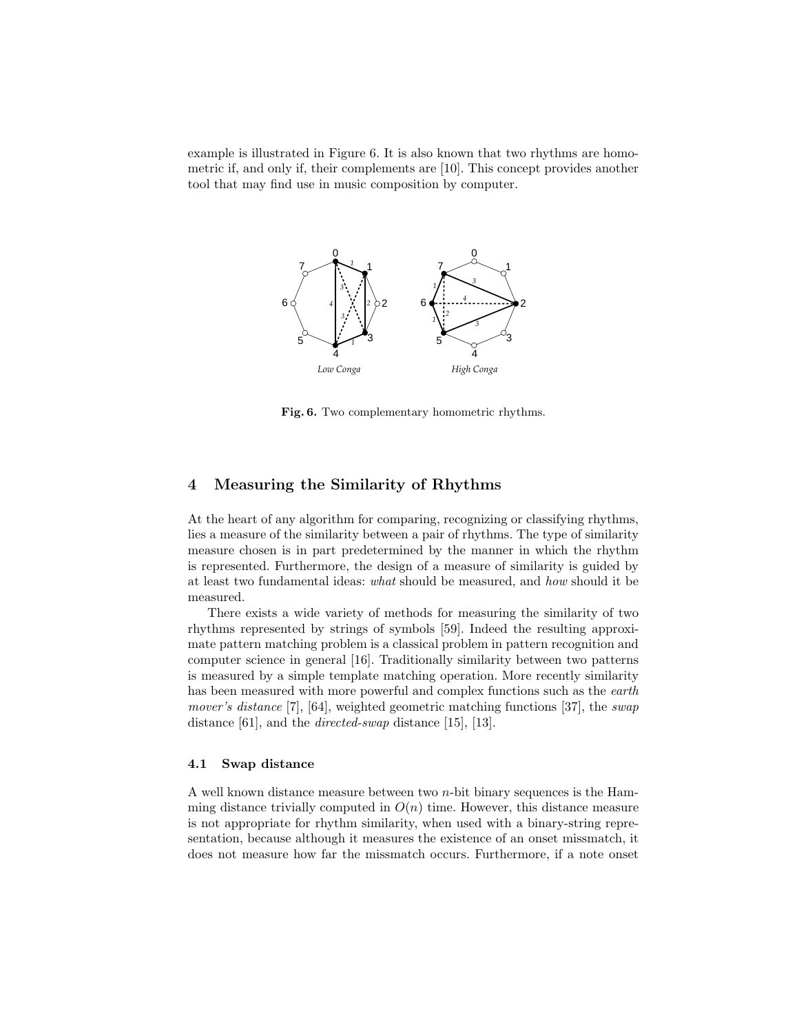example is illustrated in Figure 6. It is also known that two rhythms are homometric if, and only if, their complements are [10]. This concept provides another tool that may find use in music composition by computer.



Fig. 6. Two complementary homometric rhythms.

# 4 Measuring the Similarity of Rhythms

At the heart of any algorithm for comparing, recognizing or classifying rhythms, lies a measure of the similarity between a pair of rhythms. The type of similarity measure chosen is in part predetermined by the manner in which the rhythm is represented. Furthermore, the design of a measure of similarity is guided by at least two fundamental ideas: what should be measured, and how should it be measured.

There exists a wide variety of methods for measuring the similarity of two rhythms represented by strings of symbols [59]. Indeed the resulting approximate pattern matching problem is a classical problem in pattern recognition and computer science in general [16]. Traditionally similarity between two patterns is measured by a simple template matching operation. More recently similarity has been measured with more powerful and complex functions such as the *earth* mover's distance [7], [64], weighted geometric matching functions [37], the swap distance [61], and the directed-swap distance [15], [13].

#### 4.1 Swap distance

A well known distance measure between two  $n$ -bit binary sequences is the Hamming distance trivially computed in  $O(n)$  time. However, this distance measure is not appropriate for rhythm similarity, when used with a binary-string representation, because although it measures the existence of an onset missmatch, it does not measure how far the missmatch occurs. Furthermore, if a note onset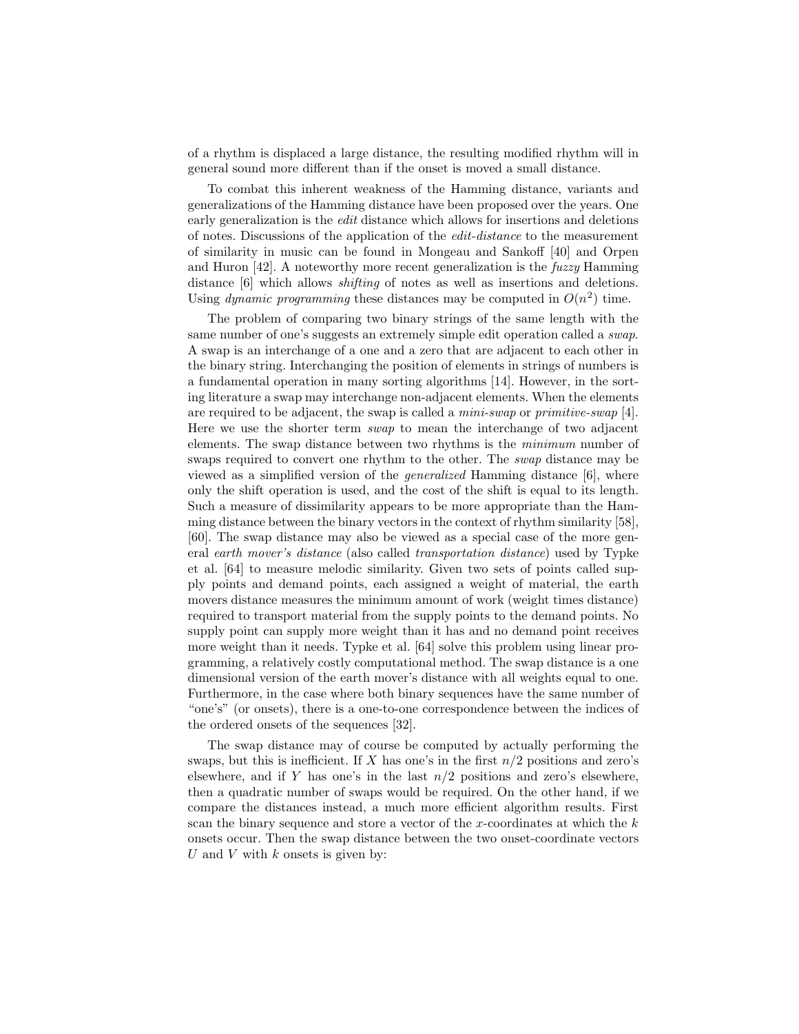of a rhythm is displaced a large distance, the resulting modified rhythm will in general sound more different than if the onset is moved a small distance.

To combat this inherent weakness of the Hamming distance, variants and generalizations of the Hamming distance have been proposed over the years. One early generalization is the edit distance which allows for insertions and deletions of notes. Discussions of the application of the edit-distance to the measurement of similarity in music can be found in Mongeau and Sankoff [40] and Orpen and Huron [42]. A noteworthy more recent generalization is the  $fuzzy$  Hamming distance [6] which allows *shifting* of notes as well as insertions and deletions. Using *dynamic programming* these distances may be computed in  $O(n^2)$  time.

The problem of comparing two binary strings of the same length with the same number of one's suggests an extremely simple edit operation called a swap. A swap is an interchange of a one and a zero that are adjacent to each other in the binary string. Interchanging the position of elements in strings of numbers is a fundamental operation in many sorting algorithms [14]. However, in the sorting literature a swap may interchange non-adjacent elements. When the elements are required to be adjacent, the swap is called a *mini-swap* or *primitive-swap* [4]. Here we use the shorter term swap to mean the interchange of two adjacent elements. The swap distance between two rhythms is the minimum number of swaps required to convert one rhythm to the other. The swap distance may be viewed as a simplified version of the generalized Hamming distance [6], where only the shift operation is used, and the cost of the shift is equal to its length. Such a measure of dissimilarity appears to be more appropriate than the Hamming distance between the binary vectors in the context of rhythm similarity [58], [60]. The swap distance may also be viewed as a special case of the more general earth mover's distance (also called transportation distance) used by Typke et al. [64] to measure melodic similarity. Given two sets of points called supply points and demand points, each assigned a weight of material, the earth movers distance measures the minimum amount of work (weight times distance) required to transport material from the supply points to the demand points. No supply point can supply more weight than it has and no demand point receives more weight than it needs. Typke et al. [64] solve this problem using linear programming, a relatively costly computational method. The swap distance is a one dimensional version of the earth mover's distance with all weights equal to one. Furthermore, in the case where both binary sequences have the same number of "one's" (or onsets), there is a one-to-one correspondence between the indices of the ordered onsets of the sequences [32].

The swap distance may of course be computed by actually performing the swaps, but this is inefficient. If X has one's in the first  $n/2$  positions and zero's elsewhere, and if Y has one's in the last  $n/2$  positions and zero's elsewhere, then a quadratic number of swaps would be required. On the other hand, if we compare the distances instead, a much more efficient algorithm results. First scan the binary sequence and store a vector of the x-coordinates at which the  $k$ onsets occur. Then the swap distance between the two onset-coordinate vectors U and V with  $k$  onsets is given by: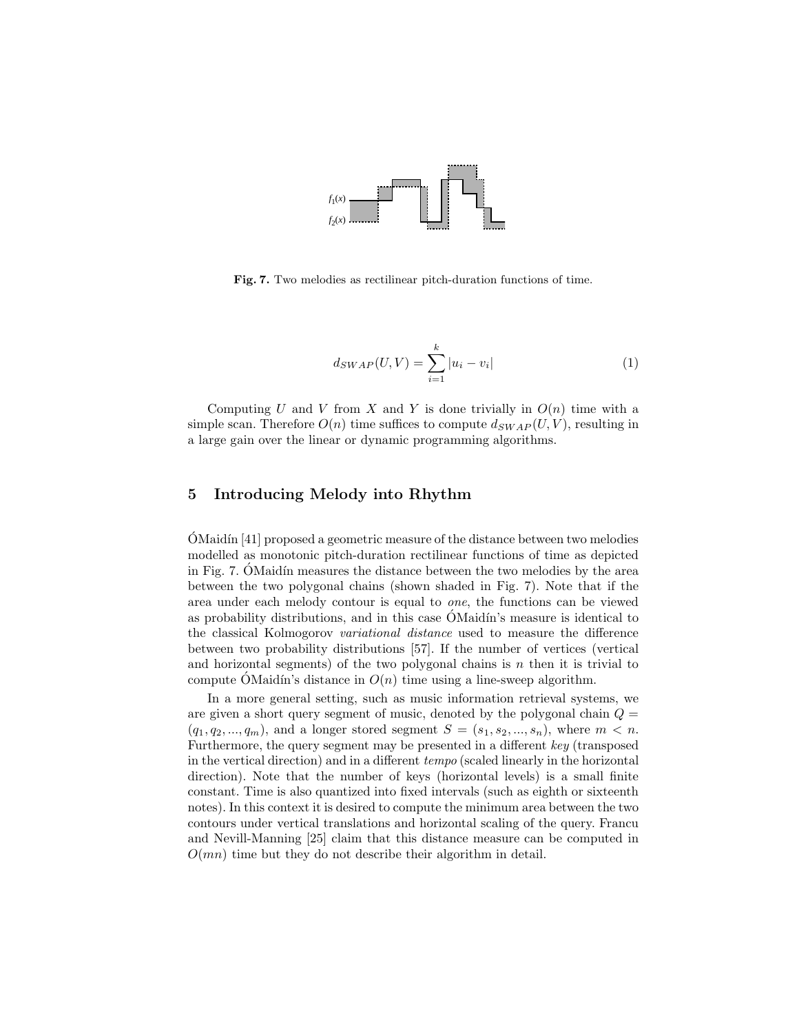

Fig. 7. Two melodies as rectilinear pitch-duration functions of time.

$$
d_{SWAP}(U, V) = \sum_{i=1}^{k} |u_i - v_i|
$$
 (1)

Computing U and V from X and Y is done trivially in  $O(n)$  time with a simple scan. Therefore  $O(n)$  time suffices to compute  $d_{SWAP}(U, V)$ , resulting in a large gain over the linear or dynamic programming algorithms.

# 5 Introducing Melody into Rhythm

 $\dot{\text{OMaid}}$  [41] proposed a geometric measure of the distance between two melodies modelled as monotonic pitch-duration rectilinear functions of time as depicted in Fig. 7. OMaid in measures the distance between the two melodies by the area between the two polygonal chains (shown shaded in Fig. 7). Note that if the area under each melody contour is equal to one, the functions can be viewed as probability distributions, and in this case OMaidín's measure is identical to the classical Kolmogorov variational distance used to measure the difference between two probability distributions [57]. If the number of vertices (vertical and horizontal segments) of the two polygonal chains is  $n$  then it is trivial to compute OMaidín's distance in  $O(n)$  time using a line-sweep algorithm.

In a more general setting, such as music information retrieval systems, we are given a short query segment of music, denoted by the polygonal chain  $Q =$  $(q_1, q_2, ..., q_m)$ , and a longer stored segment  $S = (s_1, s_2, ..., s_n)$ , where  $m < n$ . Furthermore, the query segment may be presented in a different key (transposed in the vertical direction) and in a different tempo (scaled linearly in the horizontal direction). Note that the number of keys (horizontal levels) is a small finite constant. Time is also quantized into fixed intervals (such as eighth or sixteenth notes). In this context it is desired to compute the minimum area between the two contours under vertical translations and horizontal scaling of the query. Francu and Nevill-Manning [25] claim that this distance measure can be computed in  $O(mn)$  time but they do not describe their algorithm in detail.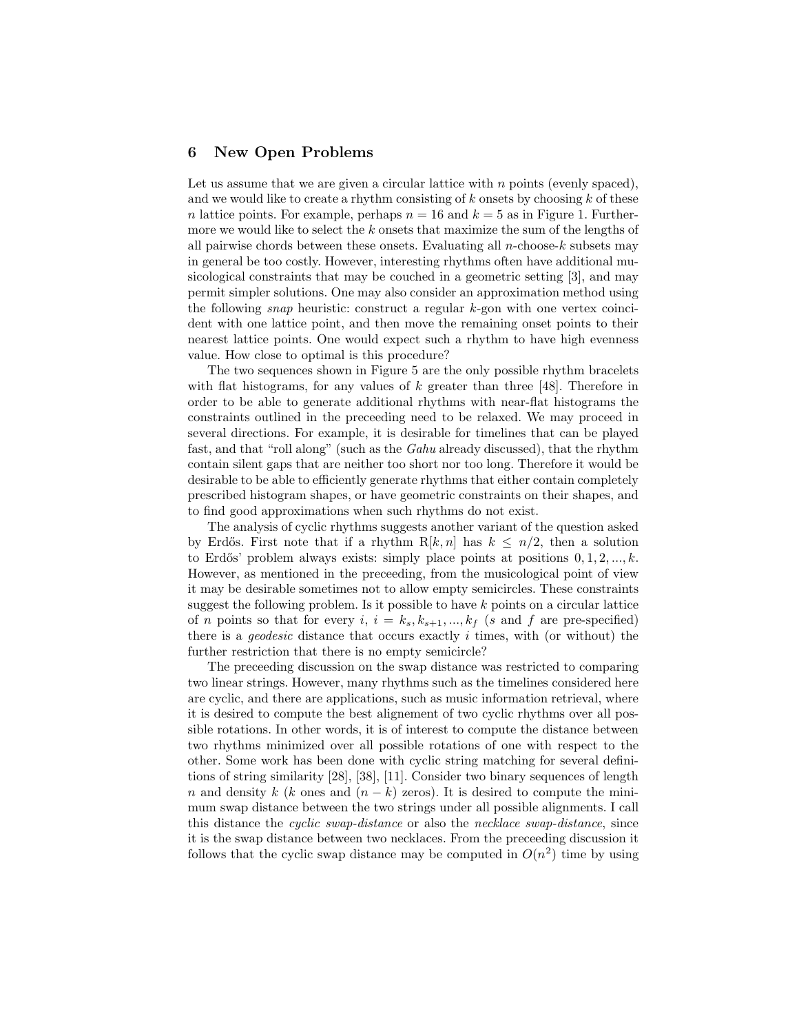## 6 New Open Problems

Let us assume that we are given a circular lattice with  $n$  points (evenly spaced), and we would like to create a rhythm consisting of  $k$  onsets by choosing  $k$  of these n lattice points. For example, perhaps  $n = 16$  and  $k = 5$  as in Figure 1. Furthermore we would like to select the k onsets that maximize the sum of the lengths of all pairwise chords between these onsets. Evaluating all  $n$ -choose- $k$  subsets may in general be too costly. However, interesting rhythms often have additional musicological constraints that may be couched in a geometric setting [3], and may permit simpler solutions. One may also consider an approximation method using the following snap heuristic: construct a regular k-gon with one vertex coincident with one lattice point, and then move the remaining onset points to their nearest lattice points. One would expect such a rhythm to have high evenness value. How close to optimal is this procedure?

The two sequences shown in Figure 5 are the only possible rhythm bracelets with flat histograms, for any values of  $k$  greater than three [48]. Therefore in order to be able to generate additional rhythms with near-flat histograms the constraints outlined in the preceeding need to be relaxed. We may proceed in several directions. For example, it is desirable for timelines that can be played fast, and that "roll along" (such as the Gahu already discussed), that the rhythm contain silent gaps that are neither too short nor too long. Therefore it would be desirable to be able to efficiently generate rhythms that either contain completely prescribed histogram shapes, or have geometric constraints on their shapes, and to find good approximations when such rhythms do not exist.

The analysis of cyclic rhythms suggests another variant of the question asked by Erdős. First note that if a rhythm  $R[k, n]$  has  $k \leq n/2$ , then a solution to Erdős' problem always exists: simply place points at positions  $0, 1, 2, ..., k$ . However, as mentioned in the preceeding, from the musicological point of view it may be desirable sometimes not to allow empty semicircles. These constraints suggest the following problem. Is it possible to have k points on a circular lattice of *n* points so that for every *i*,  $i = k_s, k_{s+1}, ..., k_f$  (*s* and *f* are pre-specified) there is a *geodesic* distance that occurs exactly i times, with (or without) the further restriction that there is no empty semicircle?

The preceeding discussion on the swap distance was restricted to comparing two linear strings. However, many rhythms such as the timelines considered here are cyclic, and there are applications, such as music information retrieval, where it is desired to compute the best alignement of two cyclic rhythms over all possible rotations. In other words, it is of interest to compute the distance between two rhythms minimized over all possible rotations of one with respect to the other. Some work has been done with cyclic string matching for several definitions of string similarity [28], [38], [11]. Consider two binary sequences of length n and density k (k ones and  $(n - k)$  zeros). It is desired to compute the minimum swap distance between the two strings under all possible alignments. I call this distance the cyclic swap-distance or also the necklace swap-distance, since it is the swap distance between two necklaces. From the preceeding discussion it follows that the cyclic swap distance may be computed in  $O(n^2)$  time by using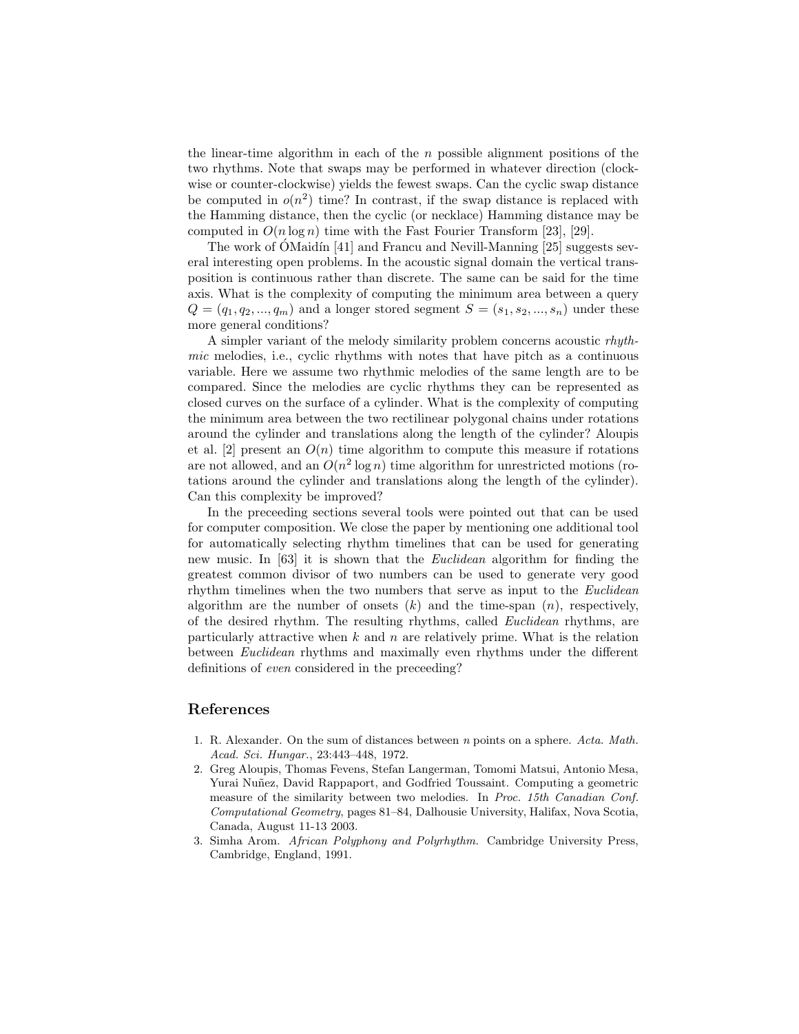the linear-time algorithm in each of the  $n$  possible alignment positions of the two rhythms. Note that swaps may be performed in whatever direction (clockwise or counter-clockwise) yields the fewest swaps. Can the cyclic swap distance be computed in  $o(n^2)$  time? In contrast, if the swap distance is replaced with the Hamming distance, then the cyclic (or necklace) Hamming distance may be computed in  $O(n \log n)$  time with the Fast Fourier Transform [23], [29].

The work of OMaidín [41] and Francu and Nevill-Manning [25] suggests several interesting open problems. In the acoustic signal domain the vertical transposition is continuous rather than discrete. The same can be said for the time axis. What is the complexity of computing the minimum area between a query  $Q = (q_1, q_2, ..., q_m)$  and a longer stored segment  $S = (s_1, s_2, ..., s_n)$  under these more general conditions?

A simpler variant of the melody similarity problem concerns acoustic rhythmic melodies, i.e., cyclic rhythms with notes that have pitch as a continuous variable. Here we assume two rhythmic melodies of the same length are to be compared. Since the melodies are cyclic rhythms they can be represented as closed curves on the surface of a cylinder. What is the complexity of computing the minimum area between the two rectilinear polygonal chains under rotations around the cylinder and translations along the length of the cylinder? Aloupis et al. [2] present an  $O(n)$  time algorithm to compute this measure if rotations are not allowed, and an  $O(n^2 \log n)$  time algorithm for unrestricted motions (rotations around the cylinder and translations along the length of the cylinder). Can this complexity be improved?

In the preceeding sections several tools were pointed out that can be used for computer composition. We close the paper by mentioning one additional tool for automatically selecting rhythm timelines that can be used for generating new music. In [63] it is shown that the Euclidean algorithm for finding the greatest common divisor of two numbers can be used to generate very good rhythm timelines when the two numbers that serve as input to the *Euclidean* algorithm are the number of onsets  $(k)$  and the time-span  $(n)$ , respectively, of the desired rhythm. The resulting rhythms, called Euclidean rhythms, are particularly attractive when  $k$  and  $n$  are relatively prime. What is the relation between Euclidean rhythms and maximally even rhythms under the different definitions of even considered in the preceeding?

# References

- 1. R. Alexander. On the sum of distances between n points on a sphere. Acta. Math. Acad. Sci. Hungar., 23:443–448, 1972.
- 2. Greg Aloupis, Thomas Fevens, Stefan Langerman, Tomomi Matsui, Antonio Mesa, Yurai Nuñez, David Rappaport, and Godfried Toussaint. Computing a geometric measure of the similarity between two melodies. In Proc. 15th Canadian Conf. Computational Geometry, pages 81–84, Dalhousie University, Halifax, Nova Scotia, Canada, August 11-13 2003.
- 3. Simha Arom. African Polyphony and Polyrhythm. Cambridge University Press, Cambridge, England, 1991.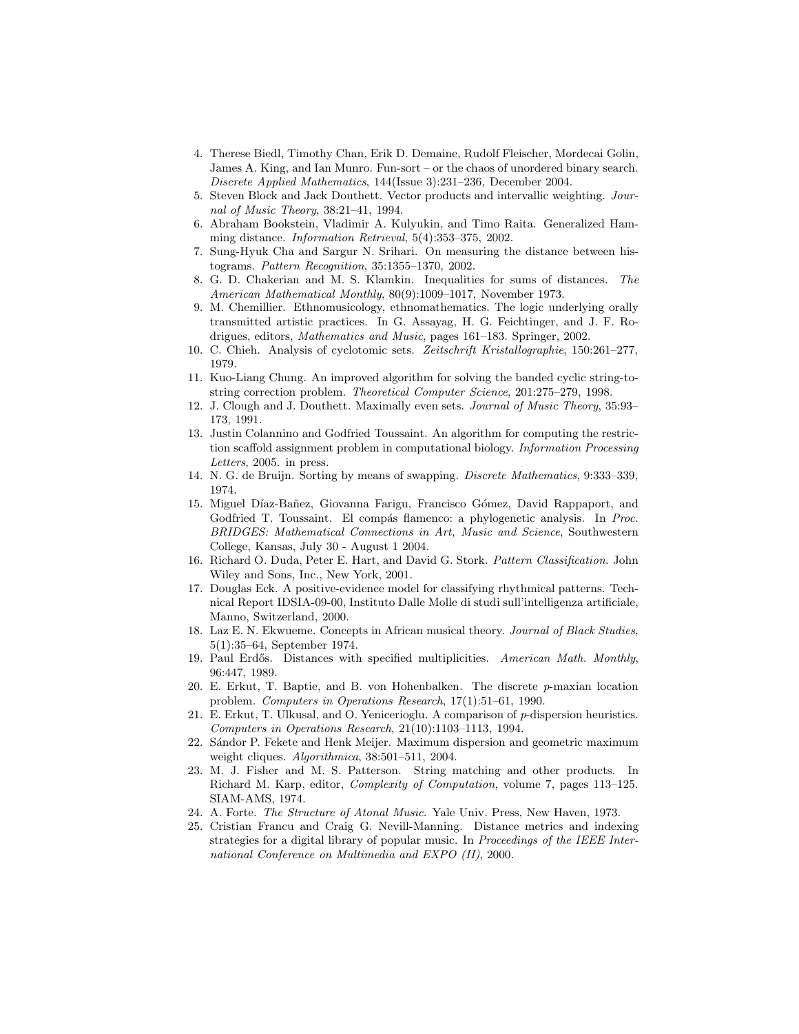- 4. Therese Biedl, Timothy Chan, Erik D. Demaine, Rudolf Fleischer, Mordecai Golin, James A. King, and Ian Munro. Fun-sort – or the chaos of unordered binary search. Discrete Applied Mathematics, 144(Issue 3):231–236, December 2004.
- 5. Steven Block and Jack Douthett. Vector products and intervallic weighting. Journal of Music Theory, 38:21–41, 1994.
- 6. Abraham Bookstein, Vladimir A. Kulyukin, and Timo Raita. Generalized Hamming distance. Information Retrieval, 5(4):353–375, 2002.
- 7. Sung-Hyuk Cha and Sargur N. Srihari. On measuring the distance between histograms. Pattern Recognition, 35:1355–1370, 2002.
- 8. G. D. Chakerian and M. S. Klamkin. Inequalities for sums of distances. The American Mathematical Monthly, 80(9):1009–1017, November 1973.
- 9. M. Chemillier. Ethnomusicology, ethnomathematics. The logic underlying orally transmitted artistic practices. In G. Assayag, H. G. Feichtinger, and J. F. Rodrigues, editors, *Mathematics and Music*, pages 161–183. Springer, 2002.
- 10. C. Chieh. Analysis of cyclotomic sets. Zeitschrift Kristallographie, 150:261–277, 1979.
- 11. Kuo-Liang Chung. An improved algorithm for solving the banded cyclic string-tostring correction problem. Theoretical Computer Science, 201:275–279, 1998.
- 12. J. Clough and J. Douthett. Maximally even sets. Journal of Music Theory, 35:93– 173, 1991.
- 13. Justin Colannino and Godfried Toussaint. An algorithm for computing the restriction scaffold assignment problem in computational biology. Information Processing Letters, 2005. in press.
- 14. N. G. de Bruijn. Sorting by means of swapping. Discrete Mathematics, 9:333–339, 1974.
- 15. Miguel Díaz-Bañez, Giovanna Farigu, Francisco Gómez, David Rappaport, and Godfried T. Toussaint. El compás flamenco: a phylogenetic analysis. In Proc. BRIDGES: Mathematical Connections in Art, Music and Science, Southwestern College, Kansas, July 30 - August 1 2004.
- 16. Richard O. Duda, Peter E. Hart, and David G. Stork. Pattern Classification. John Wiley and Sons, Inc., New York, 2001.
- 17. Douglas Eck. A positive-evidence model for classifying rhythmical patterns. Technical Report IDSIA-09-00, Instituto Dalle Molle di studi sull'intelligenza artificiale, Manno, Switzerland, 2000.
- 18. Laz E. N. Ekwueme. Concepts in African musical theory. Journal of Black Studies, 5(1):35–64, September 1974.
- 19. Paul Erdős. Distances with specified multiplicities. American Math. Monthly, 96:447, 1989.
- 20. E. Erkut, T. Baptie, and B. von Hohenbalken. The discrete p-maxian location problem. Computers in Operations Research, 17(1):51–61, 1990.
- 21. E. Erkut, T. Ulkusal, and O. Yenicerioglu. A comparison of p-dispersion heuristics. Computers in Operations Research, 21(10):1103–1113, 1994.
- 22. Sándor P. Fekete and Henk Meijer. Maximum dispersion and geometric maximum weight cliques. Algorithmica, 38:501-511, 2004.
- 23. M. J. Fisher and M. S. Patterson. String matching and other products. In Richard M. Karp, editor, Complexity of Computation, volume 7, pages 113–125. SIAM-AMS, 1974.
- 24. A. Forte. The Structure of Atonal Music. Yale Univ. Press, New Haven, 1973.
- 25. Cristian Francu and Craig G. Nevill-Manning. Distance metrics and indexing strategies for a digital library of popular music. In *Proceedings of the IEEE Inter*national Conference on Multimedia and EXPO (II), 2000.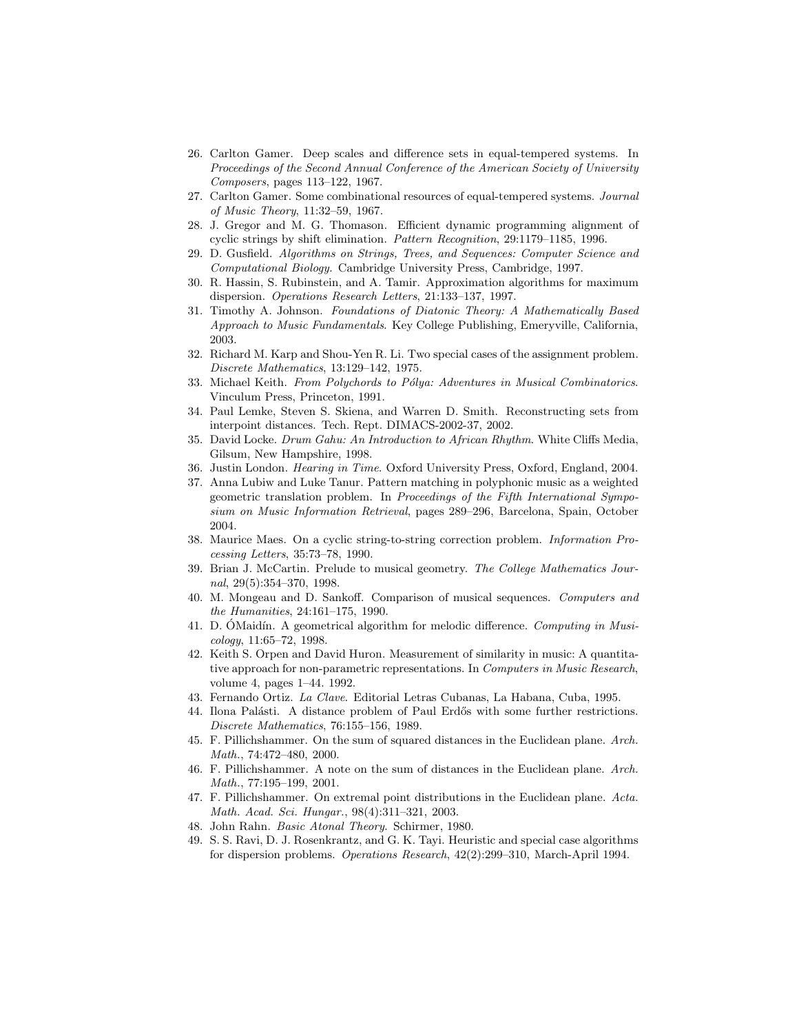- 26. Carlton Gamer. Deep scales and difference sets in equal-tempered systems. In Proceedings of the Second Annual Conference of the American Society of University Composers, pages 113–122, 1967.
- 27. Carlton Gamer. Some combinational resources of equal-tempered systems. Journal of Music Theory, 11:32–59, 1967.
- 28. J. Gregor and M. G. Thomason. Efficient dynamic programming alignment of cyclic strings by shift elimination. Pattern Recognition, 29:1179–1185, 1996.
- 29. D. Gusfield. Algorithms on Strings, Trees, and Sequences: Computer Science and Computational Biology. Cambridge University Press, Cambridge, 1997.
- 30. R. Hassin, S. Rubinstein, and A. Tamir. Approximation algorithms for maximum dispersion. Operations Research Letters, 21:133–137, 1997.
- 31. Timothy A. Johnson. Foundations of Diatonic Theory: A Mathematically Based Approach to Music Fundamentals. Key College Publishing, Emeryville, California, 2003.
- 32. Richard M. Karp and Shou-Yen R. Li. Two special cases of the assignment problem. Discrete Mathematics, 13:129–142, 1975.
- 33. Michael Keith. From Polychords to Pólya: Adventures in Musical Combinatorics. Vinculum Press, Princeton, 1991.
- 34. Paul Lemke, Steven S. Skiena, and Warren D. Smith. Reconstructing sets from interpoint distances. Tech. Rept. DIMACS-2002-37, 2002.
- 35. David Locke. Drum Gahu: An Introduction to African Rhythm. White Cliffs Media, Gilsum, New Hampshire, 1998.
- 36. Justin London. Hearing in Time. Oxford University Press, Oxford, England, 2004.
- 37. Anna Lubiw and Luke Tanur. Pattern matching in polyphonic music as a weighted geometric translation problem. In Proceedings of the Fifth International Symposium on Music Information Retrieval, pages 289–296, Barcelona, Spain, October 2004.
- 38. Maurice Maes. On a cyclic string-to-string correction problem. Information Processing Letters, 35:73–78, 1990.
- 39. Brian J. McCartin. Prelude to musical geometry. The College Mathematics Journal, 29(5):354–370, 1998.
- 40. M. Mongeau and D. Sankoff. Comparison of musical sequences. Computers and the Humanities, 24:161–175, 1990.
- 41. D. OMaidín. A geometrical algorithm for melodic difference. Computing in Musicology, 11:65–72, 1998.
- 42. Keith S. Orpen and David Huron. Measurement of similarity in music: A quantitative approach for non-parametric representations. In *Computers in Music Research*, volume 4, pages 1–44. 1992.
- 43. Fernando Ortiz. La Clave. Editorial Letras Cubanas, La Habana, Cuba, 1995.
- 44. Ilona Palásti. A distance problem of Paul Erdős with some further restrictions. Discrete Mathematics, 76:155–156, 1989.
- 45. F. Pillichshammer. On the sum of squared distances in the Euclidean plane. Arch. Math., 74:472–480, 2000.
- 46. F. Pillichshammer. A note on the sum of distances in the Euclidean plane. Arch. Math., 77:195–199, 2001.
- 47. F. Pillichshammer. On extremal point distributions in the Euclidean plane. Acta. Math. Acad. Sci. Hungar., 98(4):311–321, 2003.
- 48. John Rahn. Basic Atonal Theory. Schirmer, 1980.
- 49. S. S. Ravi, D. J. Rosenkrantz, and G. K. Tayi. Heuristic and special case algorithms for dispersion problems. Operations Research, 42(2):299–310, March-April 1994.